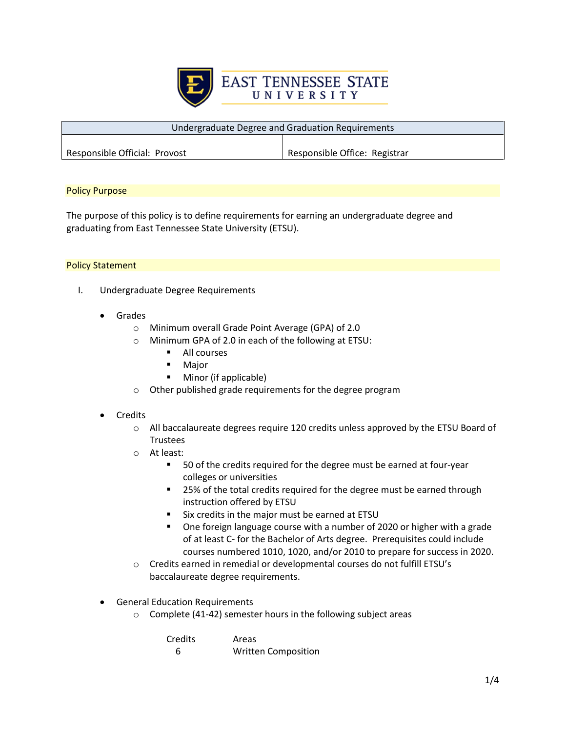

| Undergraduate Degree and Graduation Requirements |                               |
|--------------------------------------------------|-------------------------------|
|                                                  |                               |
| Responsible Official: Provost                    | Responsible Office: Registrar |

## Policy Purpose

The purpose of this policy is to define requirements for earning an undergraduate degree and graduating from East Tennessee State University (ETSU).

## Policy Statement

- I. Undergraduate Degree Requirements
	- **Grades** 
		- o Minimum overall Grade Point Average (GPA) of 2.0
		- o Minimum GPA of 2.0 in each of the following at ETSU:
			- **All courses**
			- Major
			- **Minor (if applicable)**
		- o Other published grade requirements for the degree program

## **Credits**

- $\circ$  All baccalaureate degrees require 120 credits unless approved by the ETSU Board of Trustees
- o At least:
	- 50 of the credits required for the degree must be earned at four-year colleges or universities
	- 25% of the total credits required for the degree must be earned through instruction offered by ETSU
	- **Six credits in the major must be earned at ETSU**
	- One foreign language course with a number of 2020 or higher with a grade of at least C- for the Bachelor of Arts degree. Prerequisites could include courses numbered 1010, 1020, and/or 2010 to prepare for success in 2020.
- o Credits earned in remedial or developmental courses do not fulfill ETSU's baccalaureate degree requirements.
- General Education Requirements
	- o Complete (41-42) semester hours in the following subject areas

| <b>Credits</b> | Areas                      |
|----------------|----------------------------|
| -6             | <b>Written Composition</b> |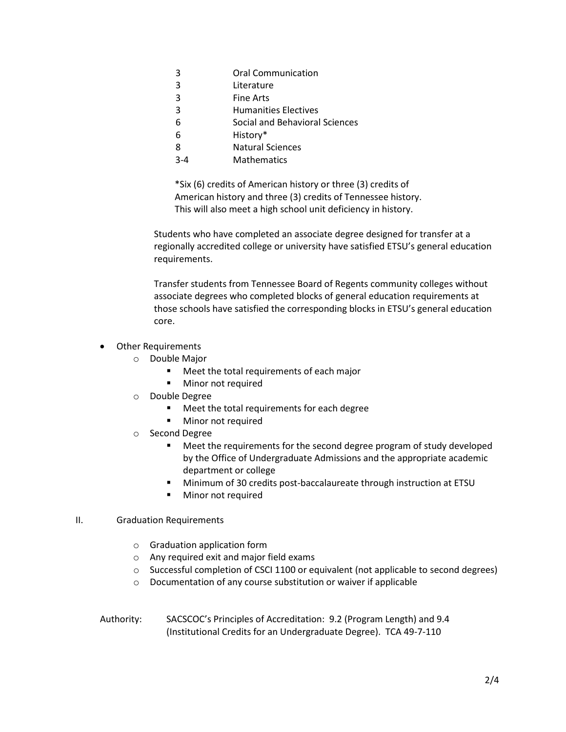- 3 Literature
- 3 Fine Arts
- 3 Humanities Electives
- 6 Social and Behavioral Sciences
- 6 History\*
- 8 Natural Sciences
- 3-4 Mathematics

\*Six (6) credits of American history or three (3) credits of American history and three (3) credits of Tennessee history. This will also meet a high school unit deficiency in history.

Students who have completed an associate degree designed for transfer at a regionally accredited college or university have satisfied ETSU's general education requirements.

Transfer students from Tennessee Board of Regents community colleges without associate degrees who completed blocks of general education requirements at those schools have satisfied the corresponding blocks in ETSU's general education core.

- Other Requirements
	- o Double Major
		- **Meet the total requirements of each major**
		- **Minor not required**
	- o Double Degree
		- **Meet the total requirements for each degree**
		- **Minor not required**
	- o Second Degree
		- Meet the requirements for the second degree program of study developed by the Office of Undergraduate Admissions and the appropriate academic department or college
		- Minimum of 30 credits post-baccalaureate through instruction at ETSU
		- **Minor not required**

#### II. Graduation Requirements

- o Graduation application form
- o Any required exit and major field exams
- o Successful completion of CSCI 1100 or equivalent (not applicable to second degrees)
- o Documentation of any course substitution or waiver if applicable
- Authority: SACSCOC's Principles of Accreditation: 9.2 (Program Length) and 9.4 (Institutional Credits for an Undergraduate Degree). TCA 49-7-110